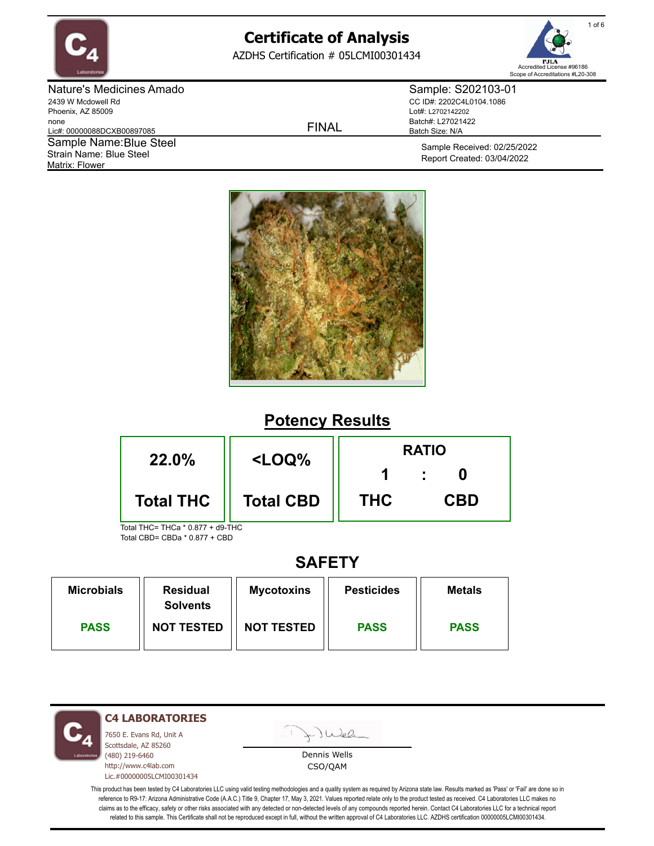

AZDHS Certification # 05LCMI00301434



Nature's Medicines Amado 2439 W Mcdowell Rd Phoenix, AZ 85009 none Lic#: 00000088DCXB00897085 Matrix: Flower Sample Name: Blue Steel Strain Name: Blue Steel

FINAL

Sample: S202103-01 CC ID#: 2202C4L0104.1086 Lot#: L2702142202 Batch#: L27021422 Batch Size: N/A

> Sample Received: 02/25/2022 Report Created: 03/04/2022



# **Potency Results**



# **SAFETY**

| <b>Microbials</b> | <b>Residual</b><br><b>Solvents</b> | <b>Mycotoxins</b> | <b>Pesticides</b> | <b>Metals</b> |
|-------------------|------------------------------------|-------------------|-------------------|---------------|
| <b>PASS</b>       | <b>NOT TESTED</b>                  | <b>NOT TESTED</b> | <b>PASS</b>       | <b>PASS</b>   |

**C4 LABORATORIES**

7650 E. Evans Rd, Unit A Scottsdale, AZ 85260 (480) 219-6460 http://www.c4lab.com Lic.#00000005LCMI00301434 Juel

Dennis Wells CSO/QAM

This product has been tested by C4 Laboratories LLC using valid testing methodologies and a quality system as required by Arizona state law. Results marked as 'Pass' or 'Fail' are done so in reference to R9-17: Arizona Administrative Code (A.A.C.) Title 9, Chapter 17, May 3, 2021. Values reported relate only to the product tested as received. C4 Laboratories LLC makes no claims as to the efficacy, safety or other risks associated with any detected or non-detected levels of any compounds reported herein. Contact C4 Laboratories LLC for a technical report related to this sample. This Certificate shall not be reproduced except in full, without the written approval of C4 Laboratories LLC. AZDHS certification 00000005LCMI00301434.

1 of 6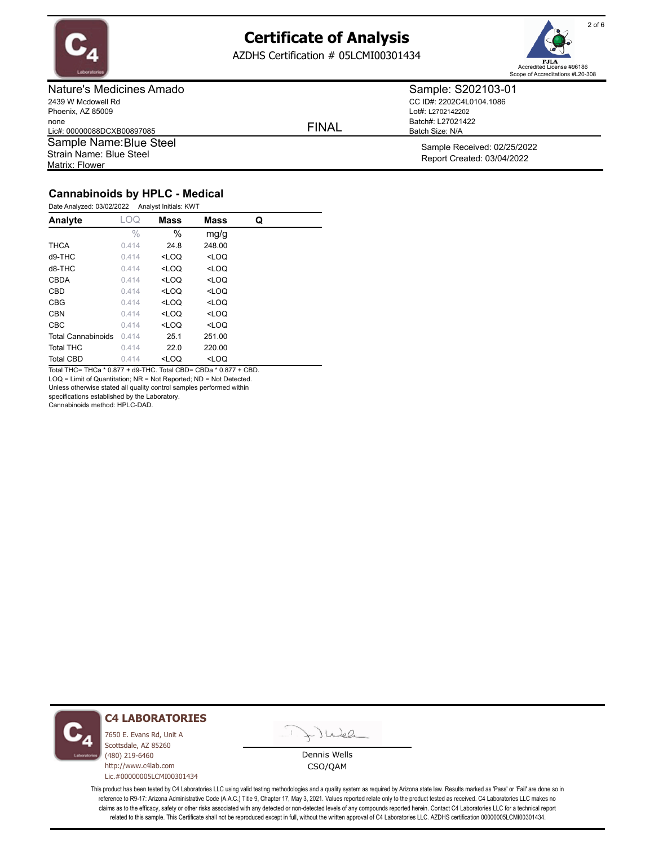

AZDHS Certification # 05LCMI00301434



Nature's Medicines Amado 2439 W Mcdowell Rd Phoenix, AZ 85009 none Lic#: 00000088DCXB00897085 Matrix: Flower Sample Name: Blue Steel Strain Name: Blue Steel

FINAL

Sample: S202103-01 CC ID#: 2202C4L0104.1086 Lot#: L2702142202 Batch#: L27021422 Batch Size: N/A

> Sample Received: 02/25/2022 Report Created: 03/04/2022

### **Cannabinoids by HPLC - Medical**

| Date Analyzed: 03/02/2022 | Analyst Initials: KWT |                                                           |                              |   |
|---------------------------|-----------------------|-----------------------------------------------------------|------------------------------|---|
| Analyte                   | LOQ                   | Mass                                                      | <b>Mass</b>                  | Q |
|                           | $\frac{0}{0}$         | $\%$                                                      | mq/q                         |   |
| <b>THCA</b>               | 0.414                 | 24.8                                                      | 248.00                       |   |
| $d9-THC$                  | 0.414                 | <loq< th=""><th><math>&lt;</math>LOQ</th><th></th></loq<> | $<$ LOQ                      |   |
| d8-THC                    | 0.414                 | $<$ LOQ                                                   | $<$ LOQ                      |   |
| CBDA                      | 0.414                 | $<$ LOQ                                                   | $<$ LOQ                      |   |
| CBD                       | 0.414                 | $<$ LOQ                                                   | $<$ LOQ                      |   |
| <b>CBG</b>                | 0.414                 | <loq< th=""><th><loq< th=""><th></th></loq<></th></loq<>  | <loq< th=""><th></th></loq<> |   |
| CBN                       | 0.414                 | $<$ LOQ                                                   | $<$ LOQ                      |   |
| CBC                       | 0.414                 | $<$ LOQ                                                   | $<$ LOQ                      |   |
| <b>Total Cannabinoids</b> | 0.414                 | 25.1                                                      | 251.00                       |   |
| <b>Total THC</b>          | 0.414                 | 22.0                                                      | 220.00                       |   |
| <b>Total CBD</b>          | 0.414                 | <loq< th=""><th><loq< th=""><th></th></loq<></th></loq<>  | <loq< th=""><th></th></loq<> |   |

Total THC= THCa \* 0.877 + d9-THC. Total CBD= CBDa \* 0.877 + CBD.

LOQ = Limit of Quantitation; NR = Not Reported; ND = Not Detected.

Unless otherwise stated all quality control samples performed within

specifications established by the Laboratory.

Cannabinoids method: HPLC-DAD.



#### **C4 LABORATORIES**

7650 E. Evans Rd, Unit A Scottsdale, AZ 85260 (480) 219-6460 http://www.c4lab.com Lic.#00000005LCMI00301434

Juea

Dennis Wells CSO/QAM

This product has been tested by C4 Laboratories LLC using valid testing methodologies and a quality system as required by Arizona state law. Results marked as 'Pass' or 'Fail' are done so in reference to R9-17: Arizona Administrative Code (A.A.C.) Title 9, Chapter 17, May 3, 2021. Values reported relate only to the product tested as received. C4 Laboratories LLC makes no claims as to the efficacy, safety or other risks associated with any detected or non-detected levels of any compounds reported herein. Contact C4 Laboratories LLC for a technical report related to this sample. This Certificate shall not be reproduced except in full, without the written approval of C4 Laboratories LLC. AZDHS certification 00000005LCMI00301434.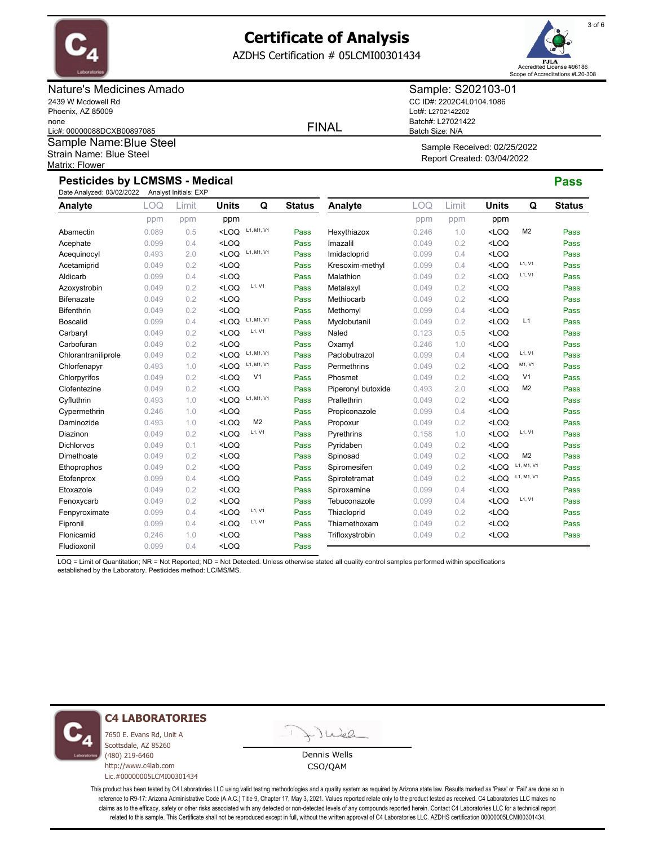

AZDHS Certification # 05LCMI00301434



### Nature's Medicines Amado 2439 W Mcdowell Rd Phoenix, AZ 85009 none Lic#: 00000088DCXB00897085

Matrix: Flower Sample Name: Blue Steel Strain Name: Blue Steel

### FINAL

Sample: S202103-01 CC ID#: 2202C4L0104.1086 Lot#: L2702142202 Batch#: L27021422 Batch Size: N/A

Sample Received: 02/25/2022 Report Created: 03/04/2022

## **Pesticides by LCMSMS - Medical Pass**

| Date Analyzed: 03/02/2022 |       | Analyst Initials: EXP |              |                |               |                    |            |       |                                                     |                |               |
|---------------------------|-------|-----------------------|--------------|----------------|---------------|--------------------|------------|-------|-----------------------------------------------------|----------------|---------------|
| Analyte                   | LOQ   | Limit                 | <b>Units</b> | Q              | <b>Status</b> | Analyte            | <b>LOQ</b> | Limit | <b>Units</b>                                        | Q              | <b>Status</b> |
|                           | ppm   | ppm                   | ppm          |                |               |                    | ppm        | ppm   | ppm                                                 |                |               |
| Abamectin                 | 0.089 | 0.5                   | $<$ LOQ      | L1, M1, V1     | Pass          | Hexythiazox        | 0.246      | 1.0   | $<$ LOQ                                             | M <sub>2</sub> | Pass          |
| Acephate                  | 0.099 | 0.4                   | $<$ LOQ      |                | Pass          | Imazalil           | 0.049      | 0.2   | <loq< td=""><td></td><td>Pass</td></loq<>           |                | Pass          |
| Acequinocyl               | 0.493 | 2.0                   | $<$ LOQ      | L1, M1, V1     | Pass          | Imidacloprid       | 0.099      | 0.4   | $<$ LOQ                                             |                | Pass          |
| Acetamiprid               | 0.049 | 0.2                   | $<$ LOQ      |                | Pass          | Kresoxim-methyl    | 0.099      | 0.4   | $<$ LOQ                                             | L1, V1         | Pass          |
| Aldicarb                  | 0.099 | 0.4                   | $<$ LOQ      |                | Pass          | Malathion          | 0.049      | 0.2   | $<$ LOQ                                             | L1, V1         | Pass          |
| Azoxystrobin              | 0.049 | 0.2                   | $<$ LOQ      | L1, V1         | Pass          | Metalaxyl          | 0.049      | 0.2   | $<$ LOQ                                             |                | Pass          |
| <b>Bifenazate</b>         | 0.049 | 0.2                   | $<$ LOQ      |                | Pass          | Methiocarb         | 0.049      | 0.2   | $<$ LOQ                                             |                | Pass          |
| <b>Bifenthrin</b>         | 0.049 | 0.2                   | $<$ LOQ      |                | Pass          | Methomyl           | 0.099      | 0.4   | $<$ LOQ                                             |                | Pass          |
| <b>Boscalid</b>           | 0.099 | 0.4                   | $<$ LOQ      | L1, M1, V1     | Pass          | Myclobutanil       | 0.049      | 0.2   | $<$ LOQ                                             | L1             | Pass          |
| Carbaryl                  | 0.049 | 0.2                   | $<$ LOQ      | L1, V1         | Pass          | Naled              | 0.123      | 0.5   | $<$ LOQ                                             |                | Pass          |
| Carbofuran                | 0.049 | 0.2                   | $<$ LOQ      |                | Pass          | Oxamyl             | 0.246      | 1.0   | $<$ LOQ                                             |                | Pass          |
| Chlorantraniliprole       | 0.049 | 0.2                   | $<$ LOQ      | L1, M1, V1     | Pass          | Paclobutrazol      | 0.099      | 0.4   | $<$ LOQ                                             | L1, V1         | Pass          |
| Chlorfenapyr              | 0.493 | 1.0                   | $<$ LOQ      | L1, M1, V1     | Pass          | Permethrins        | 0.049      | 0.2   | $<$ LOQ                                             | M1, V1         | Pass          |
| Chlorpyrifos              | 0.049 | 0.2                   | $<$ LOQ      | V <sub>1</sub> | Pass          | Phosmet            | 0.049      | 0.2   | $<$ LOQ                                             | V <sub>1</sub> | Pass          |
| Clofentezine              | 0.049 | 0.2                   | $<$ LOQ      |                | Pass          | Piperonyl butoxide | 0.493      | 2.0   | $<$ LOQ                                             | M <sub>2</sub> | Pass          |
| Cyfluthrin                | 0.493 | 1.0                   | $<$ LOQ      | L1, M1, V1     | Pass          | Prallethrin        | 0.049      | 0.2   | $<$ LOQ                                             |                | Pass          |
| Cypermethrin              | 0.246 | 1.0                   | $<$ LOQ      |                | Pass          | Propiconazole      | 0.099      | 0.4   | $<$ LOQ                                             |                | Pass          |
| Daminozide                | 0.493 | 1.0                   | $<$ LOQ      | M <sub>2</sub> | Pass          | Propoxur           | 0.049      | 0.2   | $<$ LOQ                                             |                | Pass          |
| Diazinon                  | 0.049 | 0.2                   | $<$ LOQ      | L1, V1         | Pass          | Pyrethrins         | 0.158      | 1.0   | $<$ LOQ                                             | L1, V1         | Pass          |
| <b>Dichlorvos</b>         | 0.049 | 0.1                   | $<$ LOQ      |                | Pass          | Pyridaben          | 0.049      | 0.2   | $<$ LOQ                                             |                | Pass          |
| Dimethoate                | 0.049 | 0.2                   | $<$ LOQ      |                | Pass          | Spinosad           | 0.049      | 0.2   | $<$ LOQ                                             | M <sub>2</sub> | Pass          |
| Ethoprophos               | 0.049 | 0.2                   | $<$ LOQ      |                | Pass          | Spiromesifen       | 0.049      | 0.2   | <loq< td=""><td>L1, M1, V1</td><td>Pass</td></loq<> | L1, M1, V1     | Pass          |
| Etofenprox                | 0.099 | 0.4                   | $<$ LOQ      |                | Pass          | Spirotetramat      | 0.049      | 0.2   | $<$ LOQ                                             | L1, M1, V1     | Pass          |
| Etoxazole                 | 0.049 | 0.2                   | $<$ LOQ      |                | Pass          | Spiroxamine        | 0.099      | 0.4   | <loq< td=""><td></td><td>Pass</td></loq<>           |                | Pass          |
| Fenoxycarb                | 0.049 | 0.2                   | $<$ LOQ      |                | Pass          | Tebuconazole       | 0.099      | 0.4   | $<$ LOQ                                             | L1, V1         | Pass          |
| Fenpyroximate             | 0.099 | 0.4                   | $<$ LOQ      | L1, V1         | Pass          | Thiacloprid        | 0.049      | 0.2   | $<$ LOQ                                             |                | Pass          |
| Fipronil                  | 0.099 | 0.4                   | $<$ LOQ      | L1, V1         | Pass          | Thiamethoxam       | 0.049      | 0.2   | $<$ LOQ                                             |                | Pass          |
| Flonicamid                | 0.246 | 1.0                   | $<$ LOQ      |                | Pass          | Trifloxystrobin    | 0.049      | 0.2   | $<$ LOQ                                             |                | Pass          |
| Fludioxonil               | 0.099 | 0.4                   | $<$ LOQ      |                | Pass          |                    |            |       |                                                     |                |               |

LOQ = Limit of Quantitation; NR = Not Reported; ND = Not Detected. Unless otherwise stated all quality control samples performed within specifications established by the Laboratory. Pesticides method: LC/MS/MS.



**C4 LABORATORIES**

7650 E. Evans Rd, Unit A Scottsdale, AZ 85260 (480) 219-6460 http://www.c4lab.com Lic.#00000005LCMI00301434

Juea

Dennis Wells CSO/QAM

This product has been tested by C4 Laboratories LLC using valid testing methodologies and a quality system as required by Arizona state law. Results marked as 'Pass' or 'Fail' are done so in reference to R9-17: Arizona Administrative Code (A.A.C.) Title 9, Chapter 17, May 3, 2021. Values reported relate only to the product tested as received. C4 Laboratories LLC makes no claims as to the efficacy, safety or other risks associated with any detected or non-detected levels of any compounds reported herein. Contact C4 Laboratories LLC for a technical report related to this sample. This Certificate shall not be reproduced except in full, without the written approval of C4 Laboratories LLC. AZDHS certification 00000005LCMI00301434.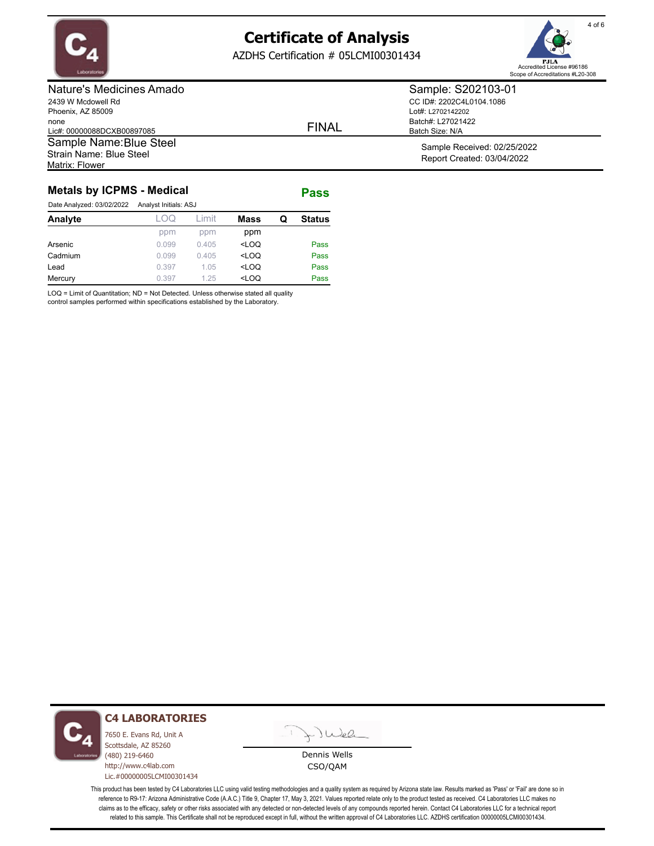

Matrix: Flower

# **Certificate of Analysis**

AZDHS Certification # 05LCMI00301434



Nature's Medicines Amado 2439 W Mcdowell Rd Phoenix, AZ 85009 none Lic#: 00000088DCXB00897085

Sample Name: Blue Steel

Strain Name: Blue Steel

FINAL

Sample: S202103-01 CC ID#: 2202C4L0104.1086 Lot#: L2702142202 Batch#: L27021422 Batch Size: N/A

> Sample Received: 02/25/2022 Report Created: 03/04/2022

### **Metals by ICPMS - Medical Pass**

| Date Analyzed: 03/02/2022 | Analyst Initials: ASJ |        |                                           |   |               |
|---------------------------|-----------------------|--------|-------------------------------------------|---|---------------|
| Analyte                   | LOQ                   | l imit | <b>Mass</b>                               | Q | <b>Status</b> |
|                           | ppm                   | ppm    | ppm                                       |   |               |
| Arsenic                   | 0.099                 | 0.405  | <loq< td=""><td></td><td>Pass</td></loq<> |   | Pass          |
| Cadmium                   | 0.099                 | 0.405  | <loq< td=""><td></td><td>Pass</td></loq<> |   | Pass          |
| Lead                      | 0.397                 | 1.05   | $<$ LOQ                                   |   | Pass          |
| Mercury                   | 0.397                 | 1.25   | $<$ LOQ                                   |   | Pass          |

LOQ = Limit of Quantitation; ND = Not Detected. Unless otherwise stated all quality

control samples performed within specifications established by the Laboratory.



### **C4 LABORATORIES**

7650 E. Evans Rd, Unit A Scottsdale, AZ 85260 (480) 219-6460 http://www.c4lab.com Lic.#00000005LCMI00301434 Juel

Dennis Wells CSO/QAM

This product has been tested by C4 Laboratories LLC using valid testing methodologies and a quality system as required by Arizona state law. Results marked as 'Pass' or 'Fail' are done so in reference to R9-17: Arizona Administrative Code (A.A.C.) Title 9, Chapter 17, May 3, 2021. Values reported relate only to the product tested as received. C4 Laboratories LLC makes no claims as to the efficacy, safety or other risks associated with any detected or non-detected levels of any compounds reported herein. Contact C4 Laboratories LLC for a technical report related to this sample. This Certificate shall not be reproduced except in full, without the written approval of C4 Laboratories LLC. AZDHS certification 00000005LCMI00301434.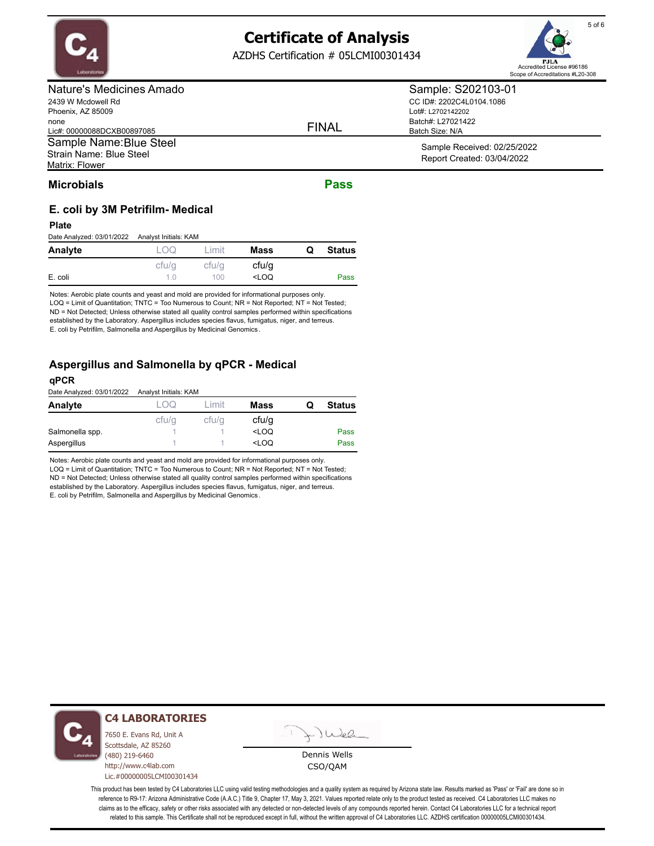

AZDHS Certification # 05LCMI00301434

Nature's Medicines Amado 2439 W Mcdowell Rd

| 2439 VV MCQOWEII RO        |
|----------------------------|
| Phoenix, AZ 85009          |
| none                       |
| Lic#: 00000088DCXB00897085 |
| Sample Name: Blue Steel    |
| Strain Name: Blue Steel    |
| Matrix: Flower             |

FINAL

Sample: S202103-01 CC ID#: 2202C4L0104.1086 Lot#: L2702142202 Batch#: L27021422 Batch Size: N/A

> Sample Received: 02/25/2022 Report Created: 03/04/2022

## **Microbials Pass**

## **E. coli by 3M Petrifilm- Medical**

#### **Plate**

Date Analyzed: 03/01/2022 Analyst Initials: KAM

| Analyte |                | _ımıt | <b>Mass</b>                               | Q | <b>Status</b> |
|---------|----------------|-------|-------------------------------------------|---|---------------|
|         | cfu/g          | cfu/q | cfu/q                                     |   |               |
| E. coli | 1 <sub>0</sub> | 100   | <loq< td=""><td></td><td>Pass</td></loq<> |   | Pass          |

Notes: Aerobic plate counts and yeast and mold are provided for informational purposes only. LOQ = Limit of Quantitation; TNTC = Too Numerous to Count; NR = Not Reported; NT = Not Tested; ND = Not Detected; Unless otherwise stated all quality control samples performed within specifications established by the Laboratory. Aspergillus includes species flavus, fumigatus, niger, and terreus. E. coli by Petrifilm, Salmonella and Aspergillus by Medicinal Genomics .

## **Aspergillus and Salmonella by qPCR - Medical**

#### **qPCR**

Date Analyzed: 03/01/2022 Analyst Initials: KAM

| Analyte         | UQ    | imit  | <b>Mass</b>                               | O | <b>Status</b> |
|-----------------|-------|-------|-------------------------------------------|---|---------------|
|                 | cfu/q | cfu/q | cfu/g                                     |   |               |
| Salmonella spp. |       |       | <loq< td=""><td></td><td>Pass</td></loq<> |   | Pass          |
| Aspergillus     |       |       | <loq< td=""><td></td><td>Pass</td></loq<> |   | Pass          |

Notes: Aerobic plate counts and yeast and mold are provided for informational purposes only. LOQ = Limit of Quantitation; TNTC = Too Numerous to Count; NR = Not Reported; NT = Not Tested; ND = Not Detected; Unless otherwise stated all quality control samples performed within specifications established by the Laboratory. Aspergillus includes species flavus, fumigatus, niger, and terreus. E. coli by Petrifilm, Salmonella and Aspergillus by Medicinal Genomics .



## **C4 LABORATORIES**

7650 E. Evans Rd, Unit A Scottsdale, AZ 85260 (480) 219-6460 http://www.c4lab.com Lic.#00000005LCMI00301434

Juea

Dennis Wells CSO/QAM

This product has been tested by C4 Laboratories LLC using valid testing methodologies and a quality system as required by Arizona state law. Results marked as 'Pass' or 'Fail' are done so in reference to R9-17: Arizona Administrative Code (A.A.C.) Title 9, Chapter 17, May 3, 2021. Values reported relate only to the product tested as received. C4 Laboratories LLC makes no claims as to the efficacy, safety or other risks associated with any detected or non-detected levels of any compounds reported herein. Contact C4 Laboratories LLC for a technical report related to this sample. This Certificate shall not be reproduced except in full, without the written approval of C4 Laboratories LLC. AZDHS certification 00000005LCMI00301434.



Accredited License #96186 Scope of Accreditations #L20-308